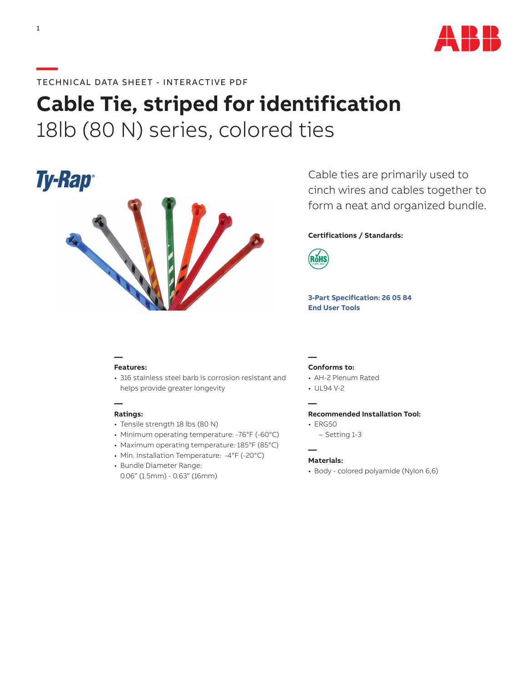

# **Cable Tie, striped for identification** 18lb (80 N) series, colored ties



Cable ties are primarily used to cinch wires and cables together to form a neat and organized bundle.

# **Certifications / Standards:**



**[3-Part Specification: 26 05 84](http://www-public.tnb.com/ps/pubint/specguide.cgi) [End User Tools](http://tnb.abb.com/pub/en/node/258)** 

# **— Features:**

• 316 stainless steel barb is corrosion resistant and helps provide greater longevity

# **Ratings:**

**—**

- Tensile strength 18 lbs (80 N)
- Minimum operating temperature: -76°F (-60°C)
- Maximum operating temperature: 185°F (85°C)
- Min. Installation Temperature: -4°F (-20°C)
- Bundle Diameter Range: 0.06" (1.5mm) - 0.63" (16mm)

#### **— Conforms to:**

- AH-2 Plenum Rated
- UL94 V-2

**—**

**—**

#### **Recommended Installation Tool:**

- ERG50
	- Setting 1-3

# **Materials:**

• Body - colored polyamide (Nylon 6,6)